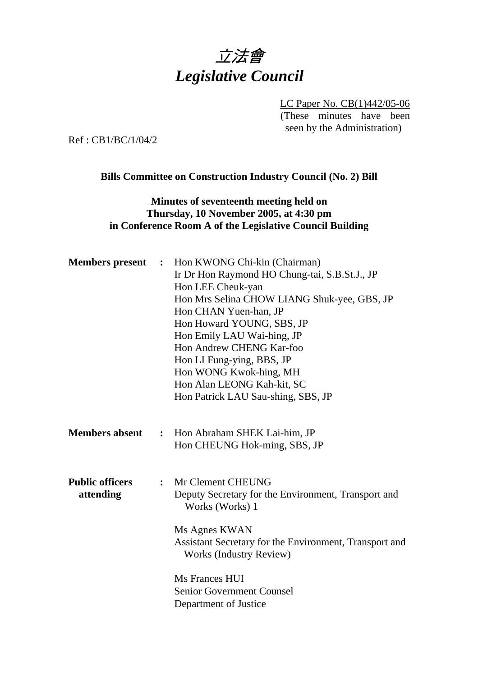# 立法會 *Legislative Council*

LC Paper No. CB(1)442/05-06 (These minutes have been seen by the Administration)

Ref : CB1/BC/1/04/2

#### **Bills Committee on Construction Industry Council (No. 2) Bill**

#### **Minutes of seventeenth meeting held on Thursday, 10 November 2005, at 4:30 pm in Conference Room A of the Legislative Council Building**

| <b>Members</b> present              | $\ddot{\cdot}$ | Hon KWONG Chi-kin (Chairman)<br>Ir Dr Hon Raymond HO Chung-tai, S.B.St.J., JP<br>Hon LEE Cheuk-yan<br>Hon Mrs Selina CHOW LIANG Shuk-yee, GBS, JP<br>Hon CHAN Yuen-han, JP<br>Hon Howard YOUNG, SBS, JP<br>Hon Emily LAU Wai-hing, JP<br>Hon Andrew CHENG Kar-foo<br>Hon LI Fung-ying, BBS, JP<br>Hon WONG Kwok-hing, MH<br>Hon Alan LEONG Kah-kit, SC<br>Hon Patrick LAU Sau-shing, SBS, JP |
|-------------------------------------|----------------|----------------------------------------------------------------------------------------------------------------------------------------------------------------------------------------------------------------------------------------------------------------------------------------------------------------------------------------------------------------------------------------------|
| <b>Members absent</b>               | $\ddot{\cdot}$ | Hon Abraham SHEK Lai-him, JP<br>Hon CHEUNG Hok-ming, SBS, JP                                                                                                                                                                                                                                                                                                                                 |
| <b>Public officers</b><br>attending | $\ddot{\cdot}$ | Mr Clement CHEUNG<br>Deputy Secretary for the Environment, Transport and<br>Works (Works) 1<br>Ms Agnes KWAN<br>Assistant Secretary for the Environment, Transport and<br><b>Works (Industry Review)</b><br>Ms Frances HUI<br><b>Senior Government Counsel</b>                                                                                                                               |
|                                     |                | Department of Justice                                                                                                                                                                                                                                                                                                                                                                        |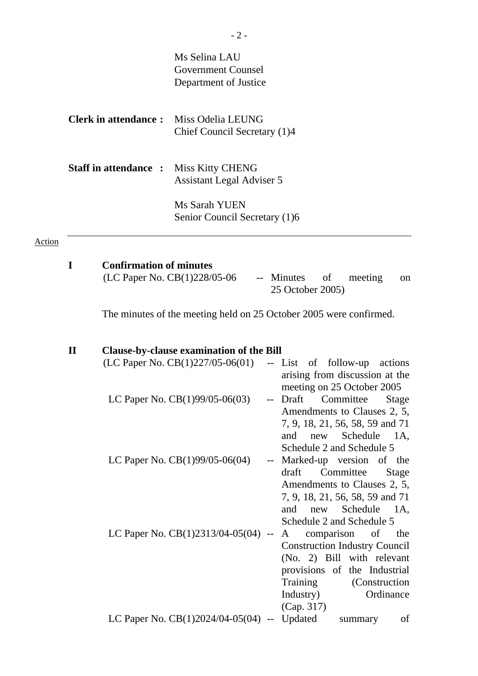|               |              |                                | Ms Selina LAU<br><b>Government Counsel</b><br>Department of Justice                                                       |                          |                                                                                                                                                                                                                           |
|---------------|--------------|--------------------------------|---------------------------------------------------------------------------------------------------------------------------|--------------------------|---------------------------------------------------------------------------------------------------------------------------------------------------------------------------------------------------------------------------|
|               |              | <b>Clerk in attendance:</b>    | Miss Odelia LEUNG<br>Chief Council Secretary (1)4                                                                         |                          |                                                                                                                                                                                                                           |
|               |              | <b>Staff in attendance:</b>    | <b>Miss Kitty CHENG</b><br>Assistant Legal Adviser 5                                                                      |                          |                                                                                                                                                                                                                           |
|               |              |                                | Ms Sarah YUEN<br>Senior Council Secretary (1)6                                                                            |                          |                                                                                                                                                                                                                           |
| <b>Action</b> |              |                                |                                                                                                                           |                          |                                                                                                                                                                                                                           |
|               | I            | <b>Confirmation of minutes</b> | (LC Paper No. CB(1)228/05-06                                                                                              |                          | -- Minutes<br>of<br>meeting<br>on<br>25 October 2005)                                                                                                                                                                     |
|               |              |                                |                                                                                                                           |                          | The minutes of the meeting held on 25 October 2005 were confirmed.                                                                                                                                                        |
|               | $\mathbf{I}$ |                                | <b>Clause-by-clause examination of the Bill</b><br>(LC Paper No. $CB(1)227/05-06(01)$ )<br>LC Paper No. CB(1)99/05-06(03) | $\overline{\phantom{m}}$ | -- List of follow-up<br>actions<br>arising from discussion at the<br>meeting on 25 October 2005<br>Draft<br>Committee<br>Stage<br>Amendments to Clauses 2, 5,<br>7, 9, 18, 21, 56, 58, 59 and 71                          |
|               |              |                                | LC Paper No. CB(1)99/05-06(04)                                                                                            | $\rightarrow$            | Schedule<br>and<br>new<br>1A,<br>Schedule 2 and Schedule 5<br>Marked-up version of the<br>draft<br>Committee<br><b>Stage</b><br>Amendments to Clauses 2, 5,<br>7, 9, 18, 21, 56, 58, 59 and 71<br>and<br>new Schedule 1A, |
|               |              |                                | LC Paper No. CB(1)2313/04-05(04) --                                                                                       |                          | Schedule 2 and Schedule 5<br>comparison of<br>A<br>the<br><b>Construction Industry Council</b><br>(No. 2) Bill with relevant<br>provisions of the Industrial<br>Training<br>(Construction)<br>Industry)<br>Ordinance      |
|               |              |                                | LC Paper No. $CB(1)2024/04-05(04)$ -- Updated                                                                             |                          | (Cap. 317)<br>of<br>summary                                                                                                                                                                                               |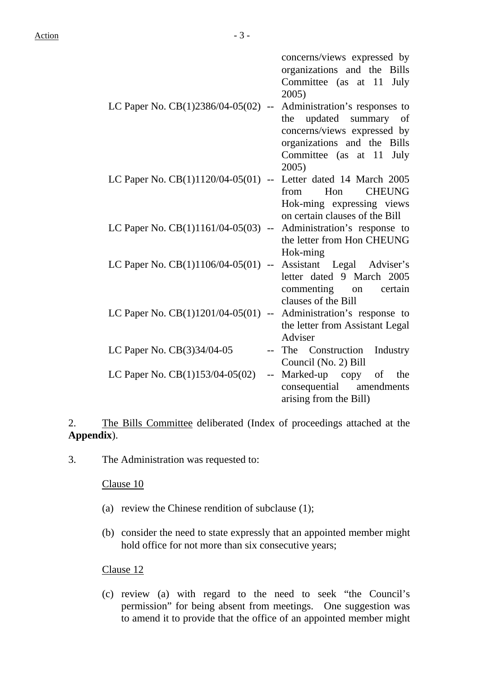| LC Paper No. CB(1)2386/04-05(02) --                           | concerns/views expressed by<br>organizations and the Bills<br>Committee (as at 11 July<br>2005)<br>Administration's responses to<br>updated summary<br>the<br>of<br>concerns/views expressed by<br>organizations and the Bills |
|---------------------------------------------------------------|--------------------------------------------------------------------------------------------------------------------------------------------------------------------------------------------------------------------------------|
| LC Paper No. $CB(1)1120/04-05(01)$ --                         | Committee (as at 11<br>July<br>2005)<br>Letter dated 14 March 2005<br>from Hon<br><b>CHEUNG</b>                                                                                                                                |
| LC Paper No. $CB(1)1161/04-05(03)$ --                         | Hok-ming expressing views<br>on certain clauses of the Bill<br>Administration's response to<br>the letter from Hon CHEUNG                                                                                                      |
| LC Paper No. CB(1)1106/04-05(01) --                           | Hok-ming<br>Assistant Legal Adviser's<br>letter dated 9 March 2005                                                                                                                                                             |
| LC Paper No. $CB(1)1201/04-05(01)$                            | commenting on<br>certain<br>clauses of the Bill<br>-- Administration's response to<br>the letter from Assistant Legal                                                                                                          |
| LC Paper No. CB(3)34/04-05                                    | Adviser<br>The Construction<br>Industry<br>Council (No. 2) Bill                                                                                                                                                                |
| LC Paper No. $CB(1)153/04-05(02)$<br>$\overline{\phantom{a}}$ | Marked-up copy of the<br>consequential<br>amendments<br>arising from the Bill)                                                                                                                                                 |

2. The Bills Committee deliberated (Index of proceedings attached at the **Appendix**).

3. The Administration was requested to:

#### Clause 10

- (a) review the Chinese rendition of subclause (1);
- (b) consider the need to state expressly that an appointed member might hold office for not more than six consecutive years;

#### Clause 12

(c) review (a) with regard to the need to seek "the Council's permission" for being absent from meetings. One suggestion was to amend it to provide that the office of an appointed member might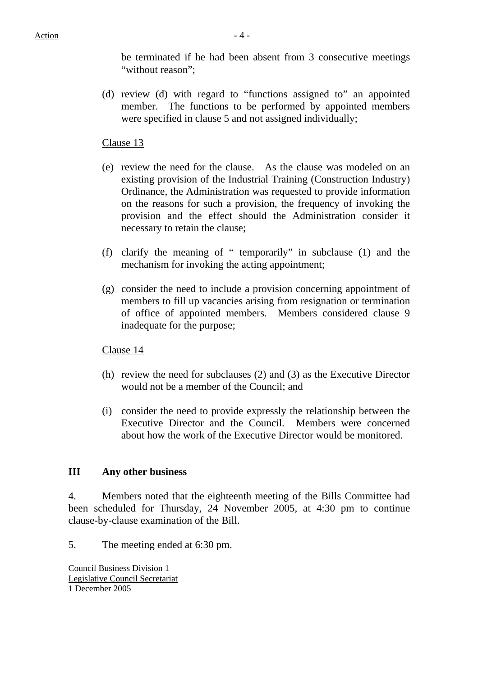be terminated if he had been absent from 3 consecutive meetings "without reason":

(d) review (d) with regard to "functions assigned to" an appointed member. The functions to be performed by appointed members were specified in clause 5 and not assigned individually;

#### Clause 13

- (e) review the need for the clause. As the clause was modeled on an existing provision of the Industrial Training (Construction Industry) Ordinance, the Administration was requested to provide information on the reasons for such a provision, the frequency of invoking the provision and the effect should the Administration consider it necessary to retain the clause;
- (f) clarify the meaning of " temporarily" in subclause (1) and the mechanism for invoking the acting appointment;
- (g) consider the need to include a provision concerning appointment of members to fill up vacancies arising from resignation or termination of office of appointed members. Members considered clause 9 inadequate for the purpose;

Clause 14

- (h) review the need for subclauses (2) and (3) as the Executive Director would not be a member of the Council; and
- (i) consider the need to provide expressly the relationship between the Executive Director and the Council. Members were concerned about how the work of the Executive Director would be monitored.

#### **III Any other business**

4. Members noted that the eighteenth meeting of the Bills Committee had been scheduled for Thursday, 24 November 2005, at 4:30 pm to continue clause-by-clause examination of the Bill.

5. The meeting ended at 6:30 pm.

Council Business Division 1 Legislative Council Secretariat 1 December 2005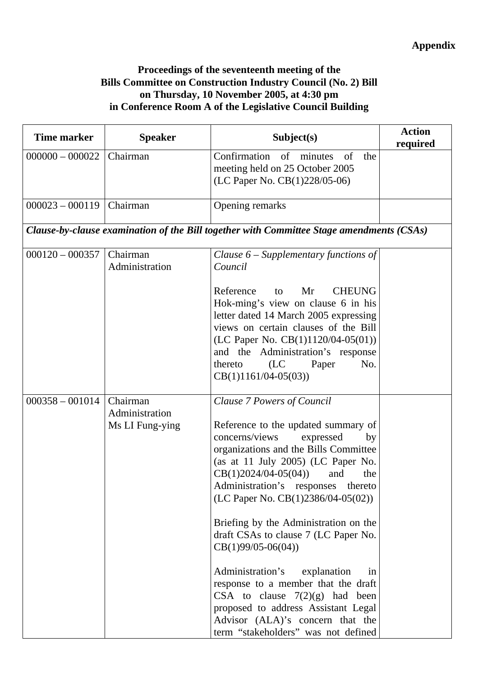## **Appendix**

### **Proceedings of the seventeenth meeting of the Bills Committee on Construction Industry Council (No. 2) Bill on Thursday, 10 November 2005, at 4:30 pm in Conference Room A of the Legislative Council Building**

| <b>Time marker</b> | <b>Speaker</b>                                | Subject(s)                                                                                                                                                                                                                                                                                                                                                                                                                                                                                                                                                                                                                                                  | <b>Action</b><br>required |
|--------------------|-----------------------------------------------|-------------------------------------------------------------------------------------------------------------------------------------------------------------------------------------------------------------------------------------------------------------------------------------------------------------------------------------------------------------------------------------------------------------------------------------------------------------------------------------------------------------------------------------------------------------------------------------------------------------------------------------------------------------|---------------------------|
| $000000 - 000022$  | Chairman                                      | Confirmation of minutes<br>the<br>of<br>meeting held on 25 October 2005<br>(LC Paper No. CB(1)228/05-06)                                                                                                                                                                                                                                                                                                                                                                                                                                                                                                                                                    |                           |
| $000023 - 000119$  | Chairman                                      | Opening remarks                                                                                                                                                                                                                                                                                                                                                                                                                                                                                                                                                                                                                                             |                           |
|                    |                                               | Clause-by-clause examination of the Bill together with Committee Stage amendments (CSAs)                                                                                                                                                                                                                                                                                                                                                                                                                                                                                                                                                                    |                           |
| $000120 - 000357$  | Chairman<br>Administration                    | Clause $6$ – Supplementary functions of<br>Council<br><b>CHEUNG</b><br>Reference<br>Mr<br>to<br>Hok-ming's view on clause 6 in his<br>letter dated 14 March 2005 expressing<br>views on certain clauses of the Bill<br>(LC Paper No. $CB(1)1120/04-05(01))$<br>and the Administration's response<br>(LC)<br>No.<br>Paper<br>thereto<br>$CB(1)1161/04-05(03))$                                                                                                                                                                                                                                                                                               |                           |
| $000358 - 001014$  | Chairman<br>Administration<br>Ms LI Fung-ying | Clause 7 Powers of Council<br>Reference to the updated summary of<br>concerns/views<br>expressed<br>by<br>organizations and the Bills Committee<br>(as at 11 July 2005) (LC Paper No.<br>$CB(1)2024/04-05(04))$<br>and<br>the<br>Administration's responses<br>thereto<br>(LC Paper No. CB(1)2386/04-05(02))<br>Briefing by the Administration on the<br>draft CSAs to clause 7 (LC Paper No.<br>$CB(1)99/05-06(04))$<br>Administration's<br>explanation<br>in<br>response to a member that the draft<br>CSA to clause $7(2)(g)$ had been<br>proposed to address Assistant Legal<br>Advisor (ALA)'s concern that the<br>term "stakeholders" was not defined |                           |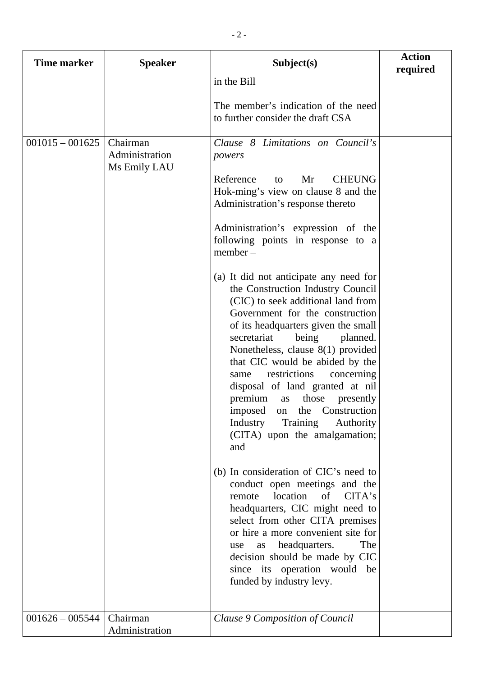| Time marker                            | <b>Speaker</b>                                         | Subject(s)                                                                                                                                                                                                                                                                                                                                                                                                                                                                                                                                                                                                                                                                                                                                                                                                                                                                                                                                                                                                                                                                                                                                                                                          | <b>Action</b><br>required |
|----------------------------------------|--------------------------------------------------------|-----------------------------------------------------------------------------------------------------------------------------------------------------------------------------------------------------------------------------------------------------------------------------------------------------------------------------------------------------------------------------------------------------------------------------------------------------------------------------------------------------------------------------------------------------------------------------------------------------------------------------------------------------------------------------------------------------------------------------------------------------------------------------------------------------------------------------------------------------------------------------------------------------------------------------------------------------------------------------------------------------------------------------------------------------------------------------------------------------------------------------------------------------------------------------------------------------|---------------------------|
|                                        |                                                        | in the Bill<br>The member's indication of the need<br>to further consider the draft CSA                                                                                                                                                                                                                                                                                                                                                                                                                                                                                                                                                                                                                                                                                                                                                                                                                                                                                                                                                                                                                                                                                                             |                           |
| $001015 - 001625$<br>$001626 - 005544$ | Chairman<br>Administration<br>Ms Emily LAU<br>Chairman | Clause 8 Limitations on Council's<br>powers<br>Reference<br>Mr<br><b>CHEUNG</b><br>to<br>Hok-ming's view on clause 8 and the<br>Administration's response thereto<br>Administration's expression of the<br>following points in response to a<br>$member -$<br>(a) It did not anticipate any need for<br>the Construction Industry Council<br>(CIC) to seek additional land from<br>Government for the construction<br>of its headquarters given the small<br>being<br>secretariat<br>planned.<br>Nonetheless, clause 8(1) provided<br>that CIC would be abided by the<br>restrictions<br>concerning<br>same<br>disposal of land granted at nil<br>premium<br>those<br>presently<br>as<br>imposed on the Construction<br>Industry<br>Training<br>Authority<br>(CITA) upon the amalgamation;<br>and<br>(b) In consideration of CIC's need to<br>conduct open meetings and the<br>location<br>remote<br>of<br>CITA's<br>headquarters, CIC might need to<br>select from other CITA premises<br>or hire a more convenient site for<br>headquarters.<br>The<br>use<br>as<br>decision should be made by CIC<br>since its operation would be<br>funded by industry levy.<br>Clause 9 Composition of Council |                           |
|                                        | Administration                                         |                                                                                                                                                                                                                                                                                                                                                                                                                                                                                                                                                                                                                                                                                                                                                                                                                                                                                                                                                                                                                                                                                                                                                                                                     |                           |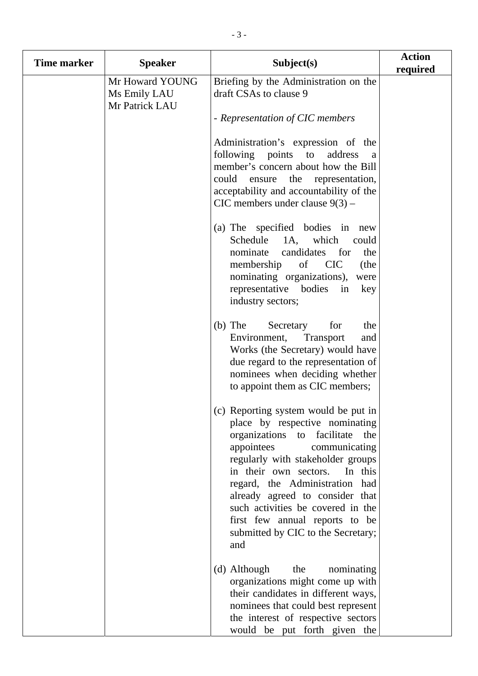| <b>Time marker</b> | <b>Speaker</b>                                    | Subject(s)                                                                                                                                                                                                                                                                                                                                                                                                    | <b>Action</b><br>required |
|--------------------|---------------------------------------------------|---------------------------------------------------------------------------------------------------------------------------------------------------------------------------------------------------------------------------------------------------------------------------------------------------------------------------------------------------------------------------------------------------------------|---------------------------|
|                    | Mr Howard YOUNG<br>Ms Emily LAU<br>Mr Patrick LAU | Briefing by the Administration on the<br>draft CSAs to clause 9                                                                                                                                                                                                                                                                                                                                               |                           |
|                    |                                                   | - Representation of CIC members                                                                                                                                                                                                                                                                                                                                                                               |                           |
|                    |                                                   | Administration's expression of the<br>following points to<br>address<br>a<br>member's concern about how the Bill<br>could ensure the representation,<br>acceptability and accountability of the<br>CIC members under clause $9(3)$ –                                                                                                                                                                          |                           |
|                    |                                                   | (a) The specified bodies in<br>new<br>which<br>Schedule<br>1A,<br>could<br>nominate<br>candidates<br>for<br>the<br>membership<br>of CIC<br>(the<br>nominating organizations),<br>were<br>representative bodies in<br>key<br>industry sectors;                                                                                                                                                                 |                           |
|                    |                                                   | $(b)$ The<br>Secretary<br>for<br>the<br><b>Transport</b><br>Environment,<br>and<br>Works (the Secretary) would have<br>due regard to the representation of<br>nominees when deciding whether<br>to appoint them as CIC members;                                                                                                                                                                               |                           |
|                    |                                                   | (c) Reporting system would be put in<br>place by respective nominating<br>organizations to facilitate<br>the<br>appointees<br>communicating<br>regularly with stakeholder groups<br>in their own sectors.<br>In this<br>regard, the Administration had<br>already agreed to consider that<br>such activities be covered in the<br>first few annual reports to be<br>submitted by CIC to the Secretary;<br>and |                           |
|                    |                                                   | (d) Although<br>the<br>nominating<br>organizations might come up with<br>their candidates in different ways,<br>nominees that could best represent<br>the interest of respective sectors<br>would be put forth given the                                                                                                                                                                                      |                           |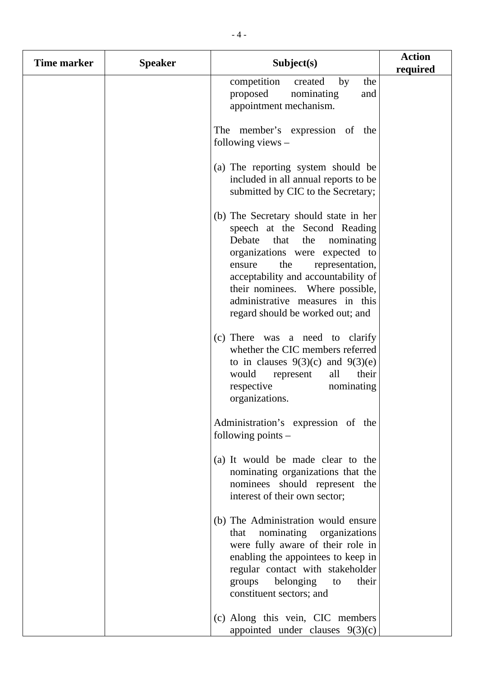| <b>Time marker</b> | <b>Speaker</b> | Subject(s)                                                                                                                                                                                                                                                                                                                          | <b>Action</b><br>required |
|--------------------|----------------|-------------------------------------------------------------------------------------------------------------------------------------------------------------------------------------------------------------------------------------------------------------------------------------------------------------------------------------|---------------------------|
|                    |                | competition<br>created<br>by<br>the<br>proposed<br>nominating<br>and<br>appointment mechanism.                                                                                                                                                                                                                                      |                           |
|                    |                | The member's expression of the<br>following views $-$                                                                                                                                                                                                                                                                               |                           |
|                    |                | (a) The reporting system should be<br>included in all annual reports to be<br>submitted by CIC to the Secretary;                                                                                                                                                                                                                    |                           |
|                    |                | (b) The Secretary should state in her<br>speech at the Second Reading<br>Debate<br>that<br>the<br>nominating<br>organizations were expected to<br>the<br>representation,<br>ensure<br>acceptability and accountability of<br>their nominees. Where possible,<br>administrative measures in this<br>regard should be worked out; and |                           |
|                    |                | (c) There was a need to clarify<br>whether the CIC members referred<br>to in clauses $9(3)(c)$ and $9(3)(e)$<br>their<br>would<br>all<br>represent<br>respective<br>nominating<br>organizations.                                                                                                                                    |                           |
|                    |                | Administration's expression of the<br>following points $-$                                                                                                                                                                                                                                                                          |                           |
|                    |                | (a) It would be made clear to the<br>nominating organizations that the<br>nominees should represent the<br>interest of their own sector;                                                                                                                                                                                            |                           |
|                    |                | (b) The Administration would ensure<br>nominating<br>organizations<br>that<br>were fully aware of their role in<br>enabling the appointees to keep in<br>regular contact with stakeholder<br>belonging<br>their<br>groups<br>to<br>constituent sectors; and                                                                         |                           |
|                    |                | (c) Along this vein, CIC members<br>appointed under clauses $9(3)(c)$                                                                                                                                                                                                                                                               |                           |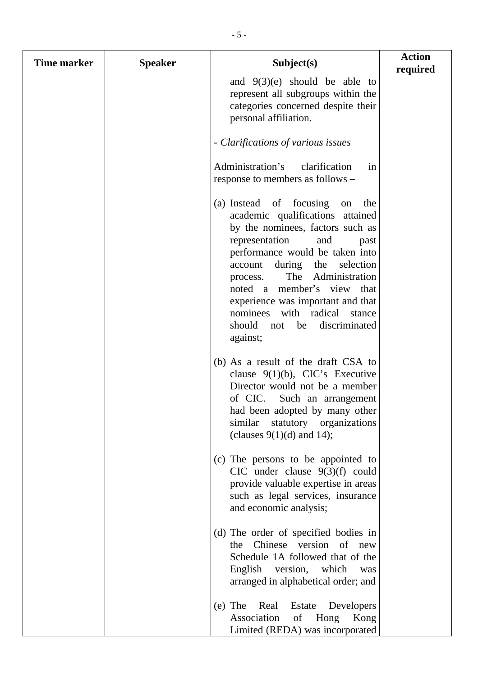| Time marker | <b>Speaker</b> | Subject(s)                                                                                                                                                                                                                                                                                                                                                                                             | <b>Action</b><br>required |
|-------------|----------------|--------------------------------------------------------------------------------------------------------------------------------------------------------------------------------------------------------------------------------------------------------------------------------------------------------------------------------------------------------------------------------------------------------|---------------------------|
|             |                | and $9(3)(e)$ should be able to<br>represent all subgroups within the<br>categories concerned despite their<br>personal affiliation.                                                                                                                                                                                                                                                                   |                           |
|             |                | - Clarifications of various issues                                                                                                                                                                                                                                                                                                                                                                     |                           |
|             |                | Administration's<br>clarification<br>in<br>response to members as follows –                                                                                                                                                                                                                                                                                                                            |                           |
|             |                | (a) Instead of focusing<br>on<br>the<br>academic qualifications attained<br>by the nominees, factors such as<br>representation<br>and<br>past<br>performance would be taken into<br>during the selection<br>account<br>The Administration<br>process.<br>noted a member's view that<br>experience was important and that<br>nominees with radical stance<br>should not be<br>discriminated<br>against; |                           |
|             |                | (b) As a result of the draft CSA to<br>clause $9(1)(b)$ , CIC's Executive<br>Director would not be a member<br>of CIC.<br>Such an arrangement<br>had been adopted by many other<br>similar<br>statutory organizations<br>(clauses $9(1)(d)$ and 14);                                                                                                                                                   |                           |
|             |                | (c) The persons to be appointed to<br>CIC under clause $9(3)(f)$ could<br>provide valuable expertise in areas<br>such as legal services, insurance<br>and economic analysis;                                                                                                                                                                                                                           |                           |
|             |                | (d) The order of specified bodies in<br>the Chinese version of new<br>Schedule 1A followed that of the<br>English version, which<br>was<br>arranged in alphabetical order; and                                                                                                                                                                                                                         |                           |
|             |                | Real<br>$(e)$ The<br>Estate<br>Developers<br>Association<br>$\circ$ of<br>Hong<br>Kong<br>Limited (REDA) was incorporated                                                                                                                                                                                                                                                                              |                           |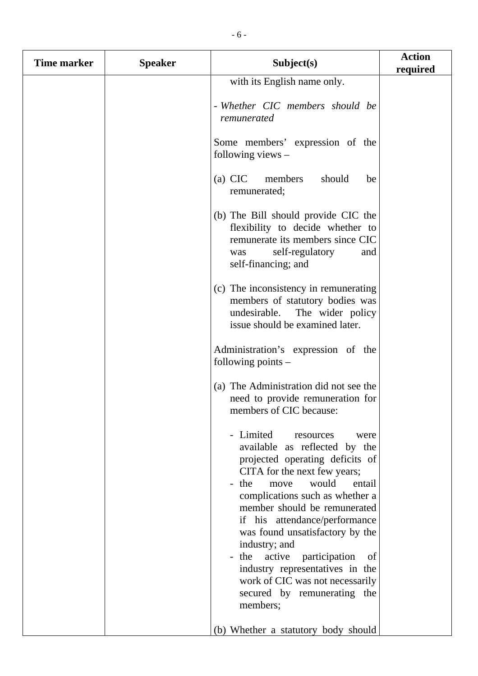| <b>Time marker</b> | <b>Speaker</b> | Subject(s)                                                                                                                                                                                                                                                                                                                                                                                                                                                                | <b>Action</b><br>required |
|--------------------|----------------|---------------------------------------------------------------------------------------------------------------------------------------------------------------------------------------------------------------------------------------------------------------------------------------------------------------------------------------------------------------------------------------------------------------------------------------------------------------------------|---------------------------|
|                    |                | with its English name only.                                                                                                                                                                                                                                                                                                                                                                                                                                               |                           |
|                    |                |                                                                                                                                                                                                                                                                                                                                                                                                                                                                           |                           |
|                    |                | - Whether CIC members should be<br>remunerated                                                                                                                                                                                                                                                                                                                                                                                                                            |                           |
|                    |                | Some members' expression of the<br>following views $-$                                                                                                                                                                                                                                                                                                                                                                                                                    |                           |
|                    |                | $(a)$ CIC<br>members<br>should<br>be<br>remunerated;                                                                                                                                                                                                                                                                                                                                                                                                                      |                           |
|                    |                | (b) The Bill should provide CIC the<br>flexibility to decide whether to<br>remunerate its members since CIC<br>self-regulatory<br>and<br>was<br>self-financing; and                                                                                                                                                                                                                                                                                                       |                           |
|                    |                | (c) The inconsistency in remunerating<br>members of statutory bodies was<br>undesirable. The wider policy<br>issue should be examined later.                                                                                                                                                                                                                                                                                                                              |                           |
|                    |                | Administration's expression of the<br>following points $-$                                                                                                                                                                                                                                                                                                                                                                                                                |                           |
|                    |                | (a) The Administration did not see the<br>need to provide remuneration for<br>members of CIC because:                                                                                                                                                                                                                                                                                                                                                                     |                           |
|                    |                | - Limited<br>resources<br>were<br>available as reflected by the<br>projected operating deficits of<br>CITA for the next few years;<br>would<br>the<br>entail<br>move<br>complications such as whether a<br>member should be remunerated<br>if his attendance/performance<br>was found unsatisfactory by the<br>industry; and<br>active<br>participation<br>the<br>of<br>industry representatives in the<br>work of CIC was not necessarily<br>secured by remunerating the |                           |
|                    |                | members;<br>(b) Whether a statutory body should                                                                                                                                                                                                                                                                                                                                                                                                                           |                           |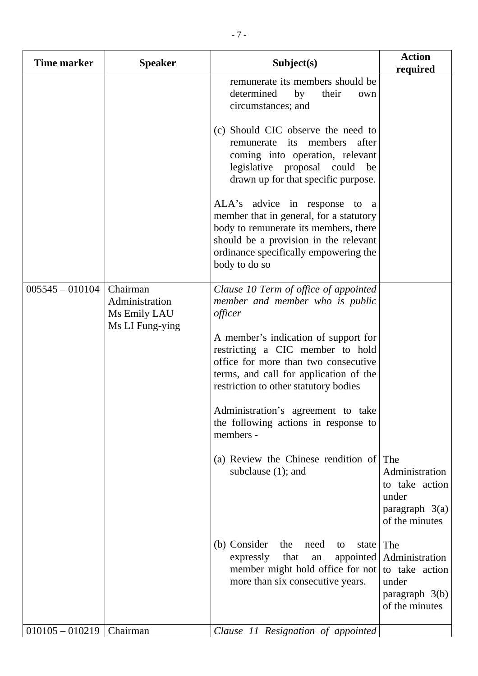| Time marker       | <b>Speaker</b>                                                | Subject(s)                                                                                                                                                                                                                                                                                                                                                                                                                                            | <b>Action</b><br>required                                                              |
|-------------------|---------------------------------------------------------------|-------------------------------------------------------------------------------------------------------------------------------------------------------------------------------------------------------------------------------------------------------------------------------------------------------------------------------------------------------------------------------------------------------------------------------------------------------|----------------------------------------------------------------------------------------|
|                   |                                                               | remunerate its members should be<br>determined<br>by<br>their<br>own<br>circumstances; and                                                                                                                                                                                                                                                                                                                                                            |                                                                                        |
|                   |                                                               | (c) Should CIC observe the need to<br>members<br>remunerate its<br>after<br>coming into operation, relevant<br>legislative proposal could<br>be<br>drawn up for that specific purpose.                                                                                                                                                                                                                                                                |                                                                                        |
|                   |                                                               | ALA's advice in response to a<br>member that in general, for a statutory<br>body to remunerate its members, there<br>should be a provision in the relevant<br>ordinance specifically empowering the<br>body to do so                                                                                                                                                                                                                                  |                                                                                        |
| $005545 - 010104$ | Chairman<br>Administration<br>Ms Emily LAU<br>Ms LI Fung-ying | Clause 10 Term of office of appointed<br>member and member who is public<br>officer<br>A member's indication of support for<br>restricting a CIC member to hold<br>office for more than two consecutive<br>terms, and call for application of the<br>restriction to other statutory bodies<br>Administration's agreement to take<br>the following actions in response to<br>members -<br>(a) Review the Chinese rendition of<br>subclause $(1)$ ; and | The<br>Administration<br>to take action                                                |
|                   |                                                               |                                                                                                                                                                                                                                                                                                                                                                                                                                                       | under<br>paragraph $3(a)$<br>of the minutes                                            |
|                   |                                                               | (b) Consider<br>the<br>need<br>state<br>to<br>that<br>expressly<br>appointed<br>${\rm an}$<br>member might hold office for not<br>more than six consecutive years.                                                                                                                                                                                                                                                                                    | The<br>Administration<br>to take action<br>under<br>paragraph $3(b)$<br>of the minutes |
| $010105 - 010219$ | Chairman                                                      | Clause 11 Resignation of appointed                                                                                                                                                                                                                                                                                                                                                                                                                    |                                                                                        |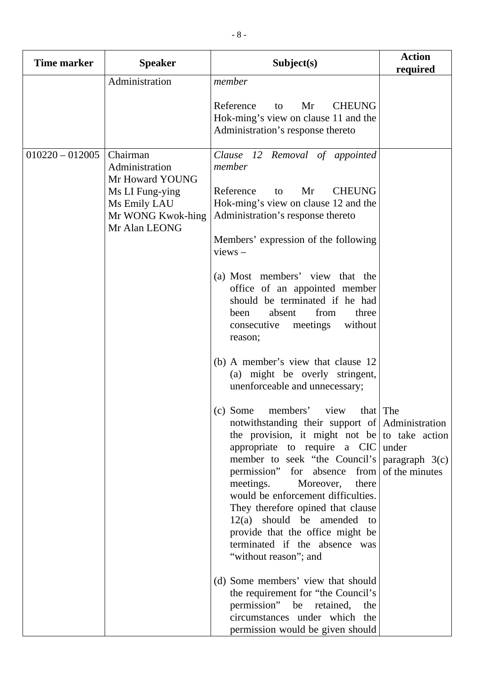| <b>Time marker</b> | <b>Speaker</b>                                                                                                         | Subject(s)                                                                                                                                                                                                                                                                                                                                                                                                                                                                                                                                                                                                                                                                                                                                                                                                                                                                                                                                                                                                                                                                                                                                                                                                         | <b>Action</b><br>required          |
|--------------------|------------------------------------------------------------------------------------------------------------------------|--------------------------------------------------------------------------------------------------------------------------------------------------------------------------------------------------------------------------------------------------------------------------------------------------------------------------------------------------------------------------------------------------------------------------------------------------------------------------------------------------------------------------------------------------------------------------------------------------------------------------------------------------------------------------------------------------------------------------------------------------------------------------------------------------------------------------------------------------------------------------------------------------------------------------------------------------------------------------------------------------------------------------------------------------------------------------------------------------------------------------------------------------------------------------------------------------------------------|------------------------------------|
|                    | Administration                                                                                                         | member<br>Reference<br><b>CHEUNG</b><br>Mr<br>to<br>Hok-ming's view on clause 11 and the<br>Administration's response thereto                                                                                                                                                                                                                                                                                                                                                                                                                                                                                                                                                                                                                                                                                                                                                                                                                                                                                                                                                                                                                                                                                      |                                    |
| $010220 - 012005$  | Chairman<br>Administration<br>Mr Howard YOUNG<br>Ms LI Fung-ying<br>Ms Emily LAU<br>Mr WONG Kwok-hing<br>Mr Alan LEONG | Clause 12 Removal of appointed<br>member<br><b>CHEUNG</b><br>Reference<br>Mr<br>to<br>Hok-ming's view on clause 12 and the<br>Administration's response thereto<br>Members' expression of the following<br>$views -$<br>(a) Most members' view that the<br>office of an appointed member<br>should be terminated if he had<br>from<br>absent<br>three<br>been<br>without<br>meetings<br>consecutive<br>reason;<br>(b) A member's view that clause 12<br>(a) might be overly stringent,<br>unenforceable and unnecessary;<br>(c) Some members' view that $ $ The<br>notwithstanding their support of Administration<br>the provision, it might not be to take action<br>appropriate to require a $CIC$ under<br>member to seek "the Council's<br>permission"<br>for absence from<br>meetings.<br>there<br>Moreover,<br>would be enforcement difficulties.<br>They therefore opined that clause<br>$12(a)$ should be amended to<br>provide that the office might be<br>terminated if the absence was<br>"without reason"; and<br>(d) Some members' view that should<br>the requirement for "the Council's<br>permission" be<br>retained,<br>the<br>circumstances under which the<br>permission would be given should | paragraph $3(c)$<br>of the minutes |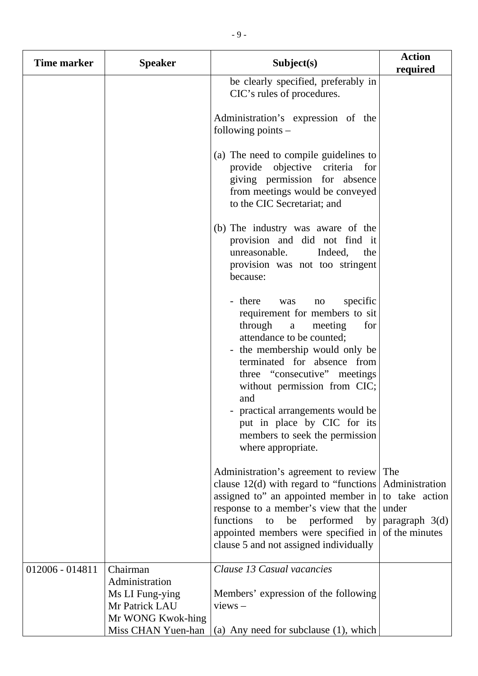| Time marker     | <b>Speaker</b>                                                                                             | Subject(s)                                                                                                                                                                                                                                                                                                                                                              | <b>Action</b><br>required                                                              |
|-----------------|------------------------------------------------------------------------------------------------------------|-------------------------------------------------------------------------------------------------------------------------------------------------------------------------------------------------------------------------------------------------------------------------------------------------------------------------------------------------------------------------|----------------------------------------------------------------------------------------|
|                 |                                                                                                            | be clearly specified, preferably in<br>CIC's rules of procedures.                                                                                                                                                                                                                                                                                                       |                                                                                        |
|                 |                                                                                                            | Administration's expression of the<br>following points $-$                                                                                                                                                                                                                                                                                                              |                                                                                        |
|                 |                                                                                                            | (a) The need to compile guidelines to<br>provide objective criteria for<br>giving permission for absence<br>from meetings would be conveyed<br>to the CIC Secretariat; and                                                                                                                                                                                              |                                                                                        |
|                 |                                                                                                            | (b) The industry was aware of the<br>provision and did not find it<br>Indeed,<br>unreasonable.<br>the<br>provision was not too stringent<br>because:                                                                                                                                                                                                                    |                                                                                        |
|                 |                                                                                                            | - there<br>specific<br>was<br>no<br>requirement for members to sit<br>through<br>meeting<br>for<br>a<br>attendance to be counted;<br>the membership would only be<br>$\overline{\phantom{a}}$<br>terminated for absence from<br>three "consecutive" meetings<br>without permission from CIC;<br>and<br>- practical arrangements would be<br>put in place by CIC for its |                                                                                        |
|                 |                                                                                                            | members to seek the permission<br>where appropriate.                                                                                                                                                                                                                                                                                                                    |                                                                                        |
|                 |                                                                                                            | Administration's agreement to review<br>clause $12(d)$ with regard to "functions"<br>assigned to" an appointed member in<br>response to a member's view that the<br>functions<br>be<br>performed<br>to<br>by<br>appointed members were specified in<br>clause 5 and not assigned individually                                                                           | The<br>Administration<br>to take action<br>under<br>paragraph $3(d)$<br>of the minutes |
| 012006 - 014811 | Chairman<br>Administration<br>Ms LI Fung-ying<br>Mr Patrick LAU<br>Mr WONG Kwok-hing<br>Miss CHAN Yuen-han | Clause 13 Casual vacancies<br>Members' expression of the following<br>$views -$<br>(a) Any need for subclause $(1)$ , which                                                                                                                                                                                                                                             |                                                                                        |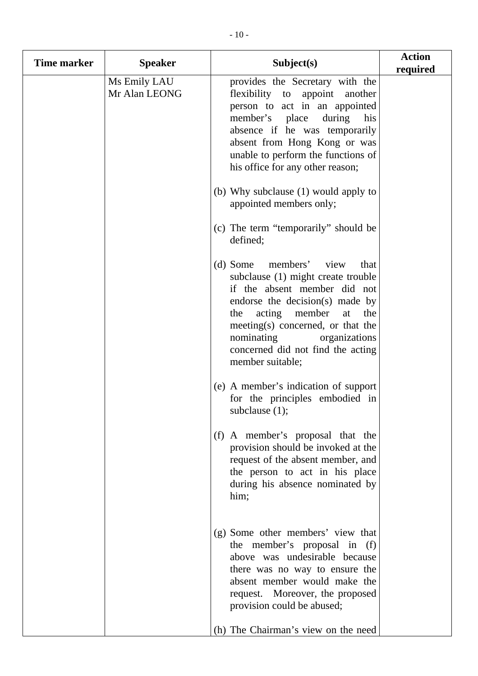| <b>Time marker</b> | <b>Speaker</b>                | Subject(s)                                                                                                                                                                                                                                                                                                         | <b>Action</b><br>required |
|--------------------|-------------------------------|--------------------------------------------------------------------------------------------------------------------------------------------------------------------------------------------------------------------------------------------------------------------------------------------------------------------|---------------------------|
|                    | Ms Emily LAU<br>Mr Alan LEONG | provides the Secretary with the<br>flexibility to appoint another<br>person to act in an appointed<br>member's place during<br>his<br>absence if he was temporarily<br>absent from Hong Kong or was<br>unable to perform the functions of<br>his office for any other reason;                                      |                           |
|                    |                               | (b) Why subclause (1) would apply to<br>appointed members only;                                                                                                                                                                                                                                                    |                           |
|                    |                               | (c) The term "temporarily" should be<br>defined;                                                                                                                                                                                                                                                                   |                           |
|                    |                               | members'<br>(d) Some<br>view<br>that<br>subclause (1) might create trouble<br>if the absent member did not<br>endorse the decision(s) made by<br>acting<br>member<br>the<br>the<br>at<br>meeting(s) concerned, or that the<br>nominating<br>organizations<br>concerned did not find the acting<br>member suitable; |                           |
|                    |                               | (e) A member's indication of support<br>for the principles embodied in<br>subclause $(1)$ ;                                                                                                                                                                                                                        |                           |
|                    |                               | (f) A member's proposal that the<br>provision should be invoked at the<br>request of the absent member, and<br>the person to act in his place<br>during his absence nominated by<br>him;                                                                                                                           |                           |
|                    |                               | (g) Some other members' view that<br>the member's proposal in (f)<br>above was undesirable because<br>there was no way to ensure the<br>absent member would make the<br>request. Moreover, the proposed<br>provision could be abused;                                                                              |                           |
|                    |                               | (h) The Chairman's view on the need                                                                                                                                                                                                                                                                                |                           |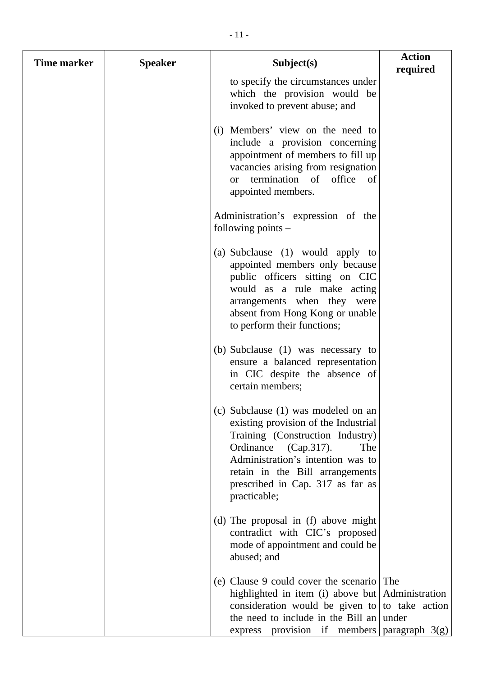| Time marker | <b>Speaker</b> | Subject(s)                                                                                                                                                                                                                                                                    | <b>Action</b><br>required |
|-------------|----------------|-------------------------------------------------------------------------------------------------------------------------------------------------------------------------------------------------------------------------------------------------------------------------------|---------------------------|
|             |                | to specify the circumstances under<br>which the provision would be<br>invoked to prevent abuse; and                                                                                                                                                                           |                           |
|             |                | (i) Members' view on the need to<br>include a provision concerning<br>appointment of members to fill up<br>vacancies arising from resignation<br>termination of office<br>of<br><b>or</b><br>appointed members.                                                               |                           |
|             |                | Administration's expression of the<br>following points $-$                                                                                                                                                                                                                    |                           |
|             |                | (a) Subclause (1) would apply to<br>appointed members only because<br>public officers sitting on CIC<br>would as a rule make acting<br>arrangements when they were<br>absent from Hong Kong or unable<br>to perform their functions;                                          |                           |
|             |                | (b) Subclause (1) was necessary to<br>ensure a balanced representation<br>in CIC despite the absence of<br>certain members;                                                                                                                                                   |                           |
|             |                | (c) Subclause (1) was modeled on an<br>existing provision of the Industrial<br>Training (Construction Industry)<br>Ordinance<br>(Cap.317).<br>The<br>Administration's intention was to<br>retain in the Bill arrangements<br>prescribed in Cap. 317 as far as<br>practicable; |                           |
|             |                | (d) The proposal in (f) above might<br>contradict with CIC's proposed<br>mode of appointment and could be<br>abused; and                                                                                                                                                      |                           |
|             |                | (e) Clause 9 could cover the scenario The<br>highlighted in item (i) above but Administration<br>consideration would be given to to take action<br>the need to include in the Bill an under<br>provision if members   paragraph $3(g)$<br>express                             |                           |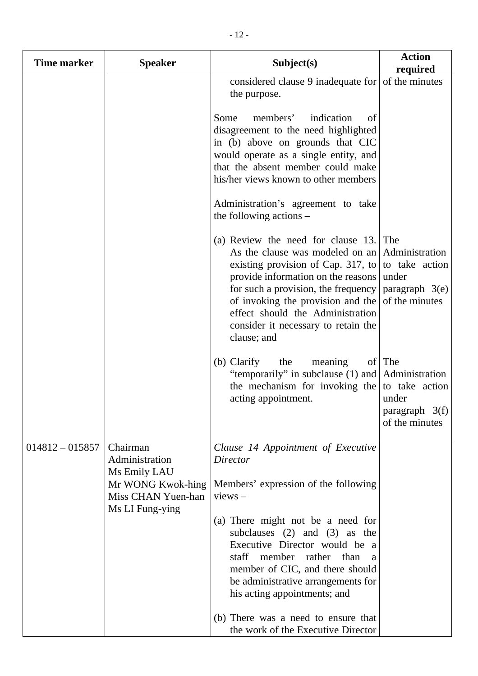| <b>Time marker</b> | <b>Speaker</b>                                                                                           | Subject(s)                                                                                                                                                                                                                                                                                                                                                                                                        | <b>Action</b><br>required                                               |
|--------------------|----------------------------------------------------------------------------------------------------------|-------------------------------------------------------------------------------------------------------------------------------------------------------------------------------------------------------------------------------------------------------------------------------------------------------------------------------------------------------------------------------------------------------------------|-------------------------------------------------------------------------|
|                    |                                                                                                          | considered clause 9 inadequate for $\vert$ of the minutes<br>the purpose.                                                                                                                                                                                                                                                                                                                                         |                                                                         |
|                    |                                                                                                          | members'<br>indication<br>Some<br>of<br>disagreement to the need highlighted<br>in (b) above on grounds that CIC<br>would operate as a single entity, and<br>that the absent member could make<br>his/her views known to other members                                                                                                                                                                            |                                                                         |
|                    |                                                                                                          | Administration's agreement to take<br>the following actions $-$                                                                                                                                                                                                                                                                                                                                                   |                                                                         |
|                    |                                                                                                          | (a) Review the need for clause 13. The<br>As the clause was modeled on an Administration<br>existing provision of Cap. 317, to to take action<br>provide information on the reasons<br>for such a provision, the frequency<br>of invoking the provision and the<br>effect should the Administration<br>consider it necessary to retain the<br>clause; and                                                         | under<br>paragraph $3(e)$<br>of the minutes                             |
|                    |                                                                                                          | (b) Clarify<br>the<br>meaning<br>"temporarily" in subclause (1) and Administration<br>the mechanism for invoking the<br>acting appointment.                                                                                                                                                                                                                                                                       | of   The<br>to take action<br>under<br>paragraph 3(f)<br>of the minutes |
| $014812 - 015857$  | Chairman<br>Administration<br>Ms Emily LAU<br>Mr WONG Kwok-hing<br>Miss CHAN Yuen-han<br>Ms LI Fung-ying | Clause 14 Appointment of Executive<br><b>Director</b><br>Members' expression of the following<br>$views -$<br>(a) There might not be a need for<br>subclauses $(2)$ and $(3)$ as the<br>Executive Director would be a<br>staff member rather than<br><sub>a</sub><br>member of CIC, and there should<br>be administrative arrangements for<br>his acting appointments; and<br>(b) There was a need to ensure that |                                                                         |

the work of the Executive Director